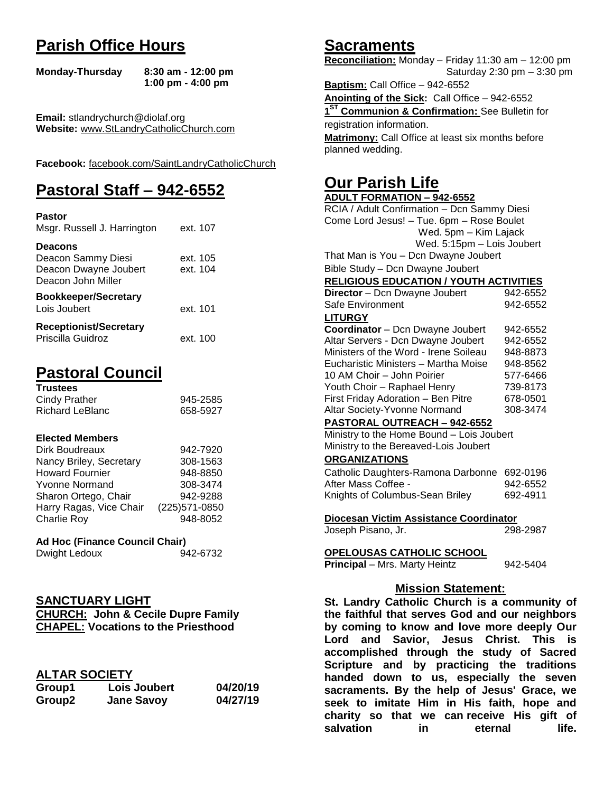# **Parish Office Hours**

```
Monday-Thursday 8:30 am - 12:00 pm
       1:00 pm - 4:00 pm
```
**Email:** stlandrychurch@diolaf.org **Website:** [www.StLandryCatholicChurch.com](http://www.stlandrycatholicchurch.com/)

**Facebook:** [facebook.com/SaintLandryCatholicChurch](http://facebook.com/SaintLandryCatholicChurch)

# **Pastoral Staff – 942-6552**

| <b>Pastor</b><br>Msgr. Russell J. Harrington                                        | ext. 107             |
|-------------------------------------------------------------------------------------|----------------------|
| <b>Deacons</b><br>Deacon Sammy Diesi<br>Deacon Dwayne Joubert<br>Deacon John Miller | ext. 105<br>ext. 104 |
| <b>Bookkeeper/Secretary</b><br>Lois Joubert                                         | ext. 101             |
| <b>Receptionist/Secretary</b><br>Priscilla Guidroz                                  | ext. 100             |

# **Pastoral Council**

| <b>Trustees</b> |          |
|-----------------|----------|
| Cindy Prather   | 945-2585 |
| Richard LeBlanc | 658-5927 |

#### **Elected Members**

| Dirk Boudreaux          | 942-7920       |
|-------------------------|----------------|
| Nancy Briley, Secretary | 308-1563       |
| <b>Howard Fournier</b>  | 948-8850       |
| <b>Yvonne Normand</b>   | 308-3474       |
| Sharon Ortego, Chair    | 942-9288       |
| Harry Ragas, Vice Chair | (225) 571-0850 |
| <b>Charlie Roy</b>      | 948-8052       |

## **Ad Hoc (Finance Council Chair)**

# **SANCTUARY LIGHT**

| <b>CHURCH: John &amp; Cecile Dupre Family</b> |  |  |
|-----------------------------------------------|--|--|
| <b>CHAPEL: Vocations to the Priesthood</b>    |  |  |

# **ALTAR SOCIETY**

| Group1 | Lois Joubert      | 04/20/19 |
|--------|-------------------|----------|
| Group2 | <b>Jane Savoy</b> | 04/27/19 |

# **Sacraments**

**Reconciliation:** Monday – Friday 11:30 am – 12:00 pm Saturday 2:30 pm – 3:30 pm

**Baptism:** Call Office – 942-6552 **Anointing of the Sick:** Call Office – 942-6552 **1 ST Communion & Confirmation:** See Bulletin for registration information. **Matrimony:** Call Office at least six months before planned wedding.

# **Our Parish Life**

| <b>ADULT FORMATION - 942-6552</b>              |          |  |
|------------------------------------------------|----------|--|
| RCIA / Adult Confirmation - Dcn Sammy Diesi    |          |  |
| Come Lord Jesus! - Tue. 6pm - Rose Boulet      |          |  |
| Wed. 5pm - Kim Lajack                          |          |  |
| Wed. 5:15pm - Lois Joubert                     |          |  |
| That Man is You - Dcn Dwayne Joubert           |          |  |
| Bible Study - Dcn Dwayne Joubert               |          |  |
| <b>RELIGIOUS EDUCATION / YOUTH ACTIVITIES</b>  |          |  |
| Director - Dcn Dwayne Joubert                  | 942-6552 |  |
| Safe Environment                               | 942-6552 |  |
| <b>LITURGY</b>                                 |          |  |
| Coordinator - Dcn Dwayne Joubert               | 942-6552 |  |
| Altar Servers - Dcn Dwayne Joubert             | 942-6552 |  |
| Ministers of the Word - Irene Soileau          | 948-8873 |  |
| Eucharistic Ministers - Martha Moise           | 948-8562 |  |
| 10 AM Choir - John Poirier                     | 577-6466 |  |
| Youth Choir - Raphael Henry                    | 739-8173 |  |
| First Friday Adoration - Ben Pitre             | 678-0501 |  |
| Altar Society-Yvonne Normand                   | 308-3474 |  |
| PASTORAL OUTREACH - 942-6552                   |          |  |
| Ministry to the Home Bound - Lois Joubert      |          |  |
| Ministry to the Bereaved-Lois Joubert          |          |  |
| <b>ORGANIZATIONS</b>                           |          |  |
| Catholic Daughters-Ramona Darbonne             | 692-0196 |  |
| After Mass Coffee -                            | 942-6552 |  |
| Knights of Columbus-Sean Briley                | 692-4911 |  |
|                                                |          |  |
| Diocesan Victim Assistance Coordinator         |          |  |
| Joseph Pisano, Jr.                             | 298-2987 |  |
|                                                |          |  |
| OPELOUSAS CATHOLIC SCHOOL                      |          |  |
| <b>Principal</b> - Mrs. Marty Heintz           | 942-5404 |  |
|                                                |          |  |
| <b>Mission Statement:</b>                      |          |  |
| St. Landry Catholic Church is a community of   |          |  |
| the faithful that serves God and our neighbors |          |  |

**the faithful that serves God and our neighbors by coming to know and love more deeply Our Lord and Savior, Jesus Christ. This is accomplished through the study of Sacred Scripture and by practicing the traditions handed down to us, especially the seven sacraments. By the help of Jesus' Grace, we seek to imitate Him in His faith, hope and charity so that we can receive His gift of salvation in** eternal life.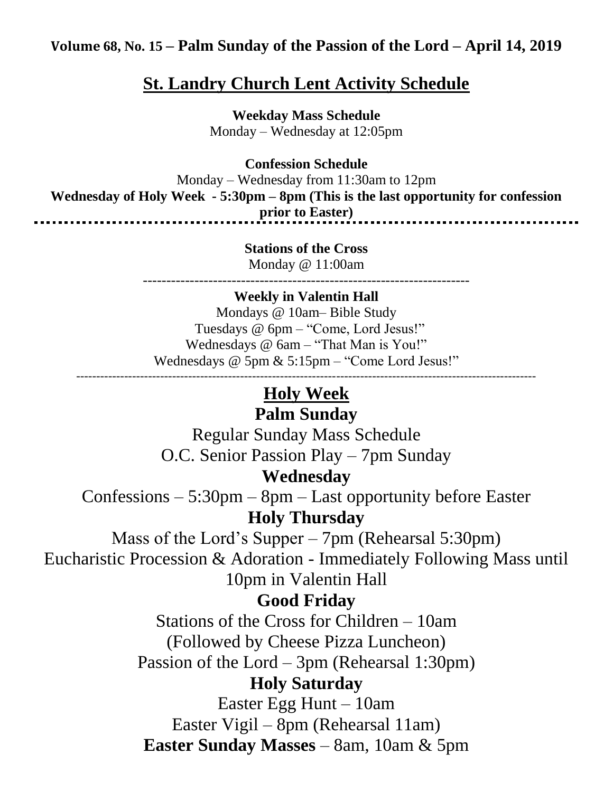# **Volume 68, No. 15 – Palm Sunday of the Passion of the Lord – April 14, 2019**

# **St. Landry Church Lent Activity Schedule**

**Weekday Mass Schedule** Monday – Wednesday at 12:05pm

**Confession Schedule**

Monday – Wednesday from 11:30am to 12pm **Wednesday of Holy Week - 5:30pm – 8pm (This is the last opportunity for confession prior to Easter)**<br> **prior to Easter**) ......................................

> **Stations of the Cross** Monday @ 11:00am

----------------------------------------------------------------------

# **Weekly in Valentin Hall**

Mondays @ 10am– Bible Study Tuesdays @ 6pm – "Come, Lord Jesus!" Wednesdays @ 6am – "That Man is You!" Wednesdays @ 5pm & 5:15pm – "Come Lord Jesus!" -------------------------------------------------------------------------------------------------------------------

# **Holy Week**

# **Palm Sunday**

Regular Sunday Mass Schedule O.C. Senior Passion Play – 7pm Sunday

# **Wednesday**

Confessions – 5:30pm – 8pm – Last opportunity before Easter **Holy Thursday**

Mass of the Lord's Supper – 7pm (Rehearsal 5:30pm) Eucharistic Procession & Adoration - Immediately Following Mass until 10pm in Valentin Hall

# **Good Friday**

Stations of the Cross for Children – 10am (Followed by Cheese Pizza Luncheon) Passion of the Lord – 3pm (Rehearsal 1:30pm)

# **Holy Saturday**

Easter Egg Hunt – 10am Easter Vigil – 8pm (Rehearsal 11am) **Easter Sunday Masses** – 8am, 10am & 5pm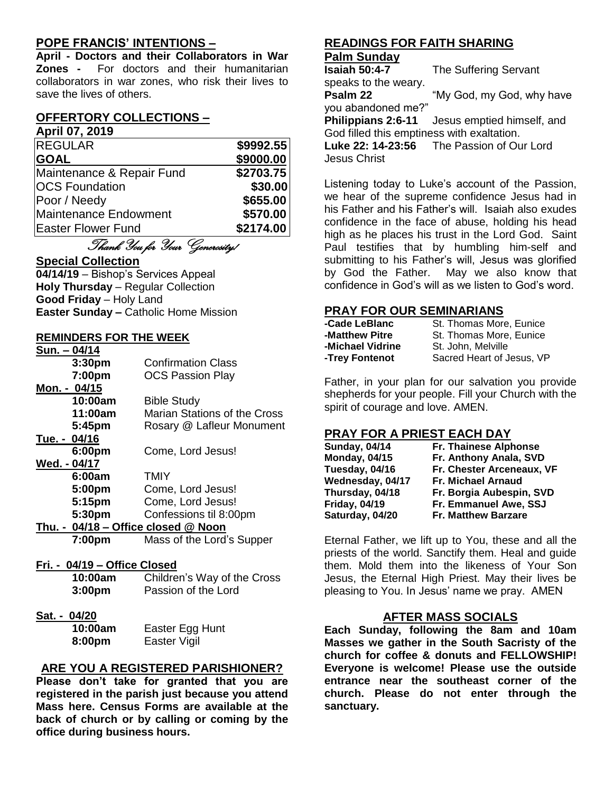## **POPE FRANCIS' INTENTIONS –**

**April - Doctors and their Collaborators in War Zones -** For doctors and their humanitarian collaborators in war zones, who risk their lives to save the lives of others.

# **OFFERTORY COLLECTIONS –**

## **April 07, 2019**

| <b>REGULAR</b>            | \$9992.55 |
|---------------------------|-----------|
| <b>GOAL</b>               | \$9000.00 |
| Maintenance & Repair Fund | \$2703.75 |
| <b>OCS Foundation</b>     | \$30.00   |
| Poor / Needy              | \$655.00  |
| Maintenance Endowment     | \$570.00  |
| <b>Easter Flower Fund</b> | \$2174.00 |

# Thank You for Your Generosity!

## **Special Collection**

**04/14/19** – Bishop's Services Appeal **Holy Thursday** – Regular Collection **Good Friday** – Holy Land **Easter Sunday –** Catholic Home Mission

## **REMINDERS FOR THE WEEK**

| Sun. - 04/14                        |                                     |  |
|-------------------------------------|-------------------------------------|--|
| 3:30 <sub>pm</sub>                  | <b>Confirmation Class</b>           |  |
| 7:00pm                              | <b>OCS Passion Play</b>             |  |
| Mon. - 04/15                        |                                     |  |
| 10:00am                             | <b>Bible Study</b>                  |  |
| 11:00am                             | <b>Marian Stations of the Cross</b> |  |
| 5:45pm                              | Rosary @ Lafleur Monument           |  |
| Tue. - 04/16                        |                                     |  |
| 6:00pm                              | Come, Lord Jesus!                   |  |
| Wed. - 04/17                        |                                     |  |
| 6:00am                              | <b>TMIY</b>                         |  |
| 5:00pm                              | Come, Lord Jesus!                   |  |
| 5:15pm                              | Come, Lord Jesus!                   |  |
| 5:30pm                              | Confessions til 8:00pm              |  |
| Thu. - 04/18 - Office closed @ Noon |                                     |  |
| 7:00pm                              | Mass of the Lord's Supper           |  |
|                                     |                                     |  |
| Fri. - 04/19 - Office Closed        |                                     |  |
| 10:00am                             | Children's Way of the Cross         |  |

- **3:00pm** Passion of the Lord
- **Sat. - 04/20**

| 10:00am | Easter Egg Hunt |
|---------|-----------------|
| 8:00pm  | Easter Vigil    |

## **ARE YOU A REGISTERED PARISHIONER?**

**Please don't take for granted that you are registered in the parish just because you attend Mass here. Census Forms are available at the back of church or by calling or coming by the office during business hours.**

# **READINGS FOR FAITH SHARING**

**Palm Sunday The Suffering Servant** speaks to the weary. **Psalm 22** "My God, my God, why have you abandoned me?" **Philippians 2:6-11** Jesus emptied himself, and God filled this emptiness with exaltation. **Luke 22: 14-23:56** The Passion of Our Lord Jesus Christ

Listening today to Luke's account of the Passion, we hear of the supreme confidence Jesus had in his Father and his Father's will. Isaiah also exudes confidence in the face of abuse, holding his head high as he places his trust in the Lord God. Saint Paul testifies that by humbling him-self and submitting to his Father's will, Jesus was glorified by God the Father. May we also know that confidence in God's will as we listen to God's word.

## **PRAY FOR OUR SEMINARIANS**

| -Cade LeBlanc    | St. Thomas More, Eunice   |
|------------------|---------------------------|
| -Matthew Pitre   | St. Thomas More, Eunice   |
| -Michael Vidrine | St. John, Melville        |
| -Trey Fontenot   | Sacred Heart of Jesus, VP |

Father, in your plan for our salvation you provide shepherds for your people. Fill your Church with the spirit of courage and love. AMEN.

# **PRAY FOR A PRIEST EACH DAY**

| <b>Sunday, 04/14</b> | Fr. Thainese Alphonse      |
|----------------------|----------------------------|
| <b>Monday, 04/15</b> | Fr. Anthony Anala, SVD     |
| Tuesday, 04/16       | Fr. Chester Arceneaux, VF  |
| Wednesday, 04/17     | Fr. Michael Arnaud         |
| Thursday, 04/18      | Fr. Borgia Aubespin, SVD   |
| <b>Friday, 04/19</b> | Fr. Emmanuel Awe, SSJ      |
| Saturday, 04/20      | <b>Fr. Matthew Barzare</b> |

Eternal Father, we lift up to You, these and all the priests of the world. Sanctify them. Heal and guide them. Mold them into the likeness of Your Son Jesus, the Eternal High Priest. May their lives be pleasing to You. In Jesus' name we pray. AMEN

## **AFTER MASS SOCIALS**

**Each Sunday, following the 8am and 10am Masses we gather in the South Sacristy of the church for coffee & donuts and FELLOWSHIP! Everyone is welcome! Please use the outside entrance near the southeast corner of the church. Please do not enter through the sanctuary.**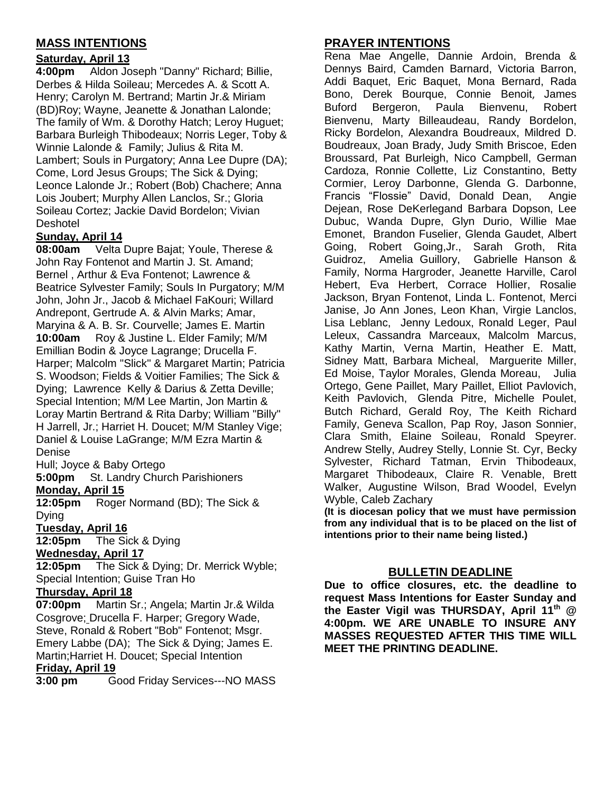# **MASS INTENTIONS**

## **Saturday, April 13**

**4:00pm** Aldon Joseph "Danny" Richard; Billie, Derbes & Hilda Soileau; Mercedes A. & Scott A. Henry; Carolyn M. Bertrand; Martin Jr.& Miriam (BD)Roy; Wayne, Jeanette & Jonathan Lalonde; The family of Wm. & Dorothy Hatch; Leroy Huguet; Barbara Burleigh Thibodeaux; Norris Leger, Toby & Winnie Lalonde & Family; Julius & Rita M. Lambert; Souls in Purgatory; Anna Lee Dupre (DA); Come, Lord Jesus Groups; The Sick & Dying; Leonce Lalonde Jr.; Robert (Bob) Chachere; Anna Lois Joubert; Murphy Allen Lanclos, Sr.; Gloria Soileau Cortez; Jackie David Bordelon; Vivian **Deshotel** 

## **Sunday, April 14**

**08:00am** Velta Dupre Bajat; Youle, Therese & John Ray Fontenot and Martin J. St. Amand; Bernel , Arthur & Eva Fontenot; Lawrence & Beatrice Sylvester Family; Souls In Purgatory; M/M John, John Jr., Jacob & Michael FaKouri; Willard Andrepont, Gertrude A. & Alvin Marks; Amar, Maryina & A. B. Sr. Courvelle; James E. Martin **10:00am** Roy & Justine L. Elder Family; M/M Emillian Bodin & Joyce Lagrange; Drucella F. Harper; Malcolm "Slick" & Margaret Martin; Patricia S. Woodson; Fields & Voitier Families; The Sick & Dying; Lawrence Kelly & Darius & Zetta Deville; Special Intention; M/M Lee Martin, Jon Martin & Loray Martin Bertrand & Rita Darby; William "Billy" H Jarrell, Jr.; Harriet H. Doucet; M/M Stanley Vige; Daniel & Louise LaGrange; M/M Ezra Martin & Denise

Hull; Joyce & Baby Ortego

**5:00pm** St. Landry Church Parishioners **Monday, April 15**

**12:05pm** Roger Normand (BD); The Sick & Dying

#### **Tuesday, April 16**

**12:05pm** The Sick & Dying **Wednesday, April 17**

**12:05pm** The Sick & Dying; Dr. Merrick Wyble; Special Intention; Guise Tran Ho

#### **Thursday, April 18**

**07:00pm** Martin Sr.; Angela; Martin Jr.& Wilda Cosgrove: Drucella F. Harper: Gregory Wade, Steve, Ronald & Robert "Bob" Fontenot; Msgr. Emery Labbe (DA); The Sick & Dying; James E. Martin;Harriet H. Doucet; Special Intention

#### **Friday, April 19**

**3:00 pm** Good Friday Services---NO MASS

## **PRAYER INTENTIONS**

Rena Mae Angelle, Dannie Ardoin, Brenda & Dennys Baird, Camden Barnard, Victoria Barron, Addi Baquet, Eric Baquet, Mona Bernard, Rada Bono, Derek Bourque, Connie Benoit, James Buford Bergeron, Paula Bienvenu, Robert Bienvenu, Marty Billeaudeau, Randy Bordelon, Ricky Bordelon, Alexandra Boudreaux, Mildred D. Boudreaux, Joan Brady, Judy Smith Briscoe, Eden Broussard, Pat Burleigh, Nico Campbell, German Cardoza, Ronnie Collette, Liz Constantino, Betty Cormier, Leroy Darbonne, Glenda G. Darbonne, Francis "Flossie" David, Donald Dean, Angie Dejean, Rose DeKerlegand Barbara Dopson, Lee Dubuc, Wanda Dupre, Glyn Durio, Willie Mae Emonet, Brandon Fuselier, Glenda Gaudet, Albert Going, Robert Going,Jr., Sarah Groth, Rita Guidroz, Amelia Guillory, Gabrielle Hanson & Family, Norma Hargroder, Jeanette Harville, Carol Hebert, Eva Herbert, Corrace Hollier, Rosalie Jackson, Bryan Fontenot, Linda L. Fontenot, Merci Janise, Jo Ann Jones, Leon Khan, Virgie Lanclos, Lisa Leblanc, Jenny Ledoux, Ronald Leger, Paul Leleux, Cassandra Marceaux, Malcolm Marcus, Kathy Martin, Verna Martin, Heather E. Matt, Sidney Matt, Barbara Micheal, Marguerite Miller, Ed Moise, Taylor Morales, Glenda Moreau, Julia Ortego, Gene Paillet, Mary Paillet, Elliot Pavlovich, Keith Pavlovich, Glenda Pitre, Michelle Poulet, Butch Richard, Gerald Roy, The Keith Richard Family, Geneva Scallon, Pap Roy, Jason Sonnier, Clara Smith, Elaine Soileau, Ronald Speyrer. Andrew Stelly, Audrey Stelly, Lonnie St. Cyr, Becky Sylvester, Richard Tatman, Ervin Thibodeaux, Margaret Thibodeaux, Claire R. Venable, Brett Walker, Augustine Wilson, Brad Woodel, Evelyn Wyble, Caleb Zachary

**(It is diocesan policy that we must have permission from any individual that is to be placed on the list of intentions prior to their name being listed.)**

## **BULLETIN DEADLINE**

**Due to office closures, etc. the deadline to request Mass Intentions for Easter Sunday and the Easter Vigil was THURSDAY, April 11th @ 4:00pm. WE ARE UNABLE TO INSURE ANY MASSES REQUESTED AFTER THIS TIME WILL MEET THE PRINTING DEADLINE.**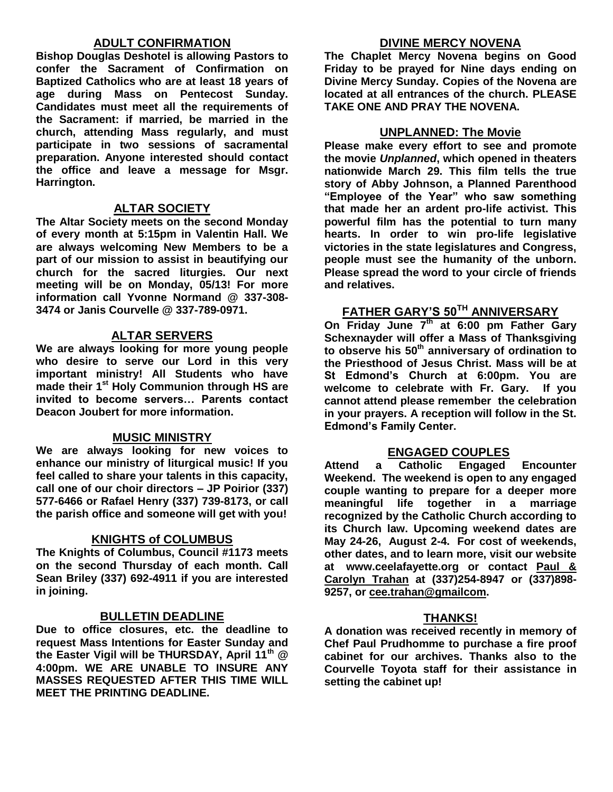## **ADULT CONFIRMATION**

**Bishop Douglas Deshotel is allowing Pastors to confer the Sacrament of Confirmation on Baptized Catholics who are at least 18 years of age during Mass on Pentecost Sunday. Candidates must meet all the requirements of the Sacrament: if married, be married in the church, attending Mass regularly, and must participate in two sessions of sacramental preparation. Anyone interested should contact the office and leave a message for Msgr. Harrington.** 

#### **ALTAR SOCIETY**

**The Altar Society meets on the second Monday of every month at 5:15pm in Valentin Hall. We are always welcoming New Members to be a part of our mission to assist in beautifying our church for the sacred liturgies. Our next meeting will be on Monday, 05/13! For more information call Yvonne Normand @ 337-308- 3474 or Janis Courvelle @ 337-789-0971.** 

## **ALTAR SERVERS**

**We are always looking for more young people who desire to serve our Lord in this very important ministry! All Students who have made their 1st Holy Communion through HS are invited to become servers… Parents contact Deacon Joubert for more information.**

#### **MUSIC MINISTRY**

**We are always looking for new voices to enhance our ministry of liturgical music! If you feel called to share your talents in this capacity, call one of our choir directors – JP Poirior (337) 577-6466 or Rafael Henry (337) 739-8173, or call the parish office and someone will get with you!**

#### **KNIGHTS of COLUMBUS**

**The Knights of Columbus, Council #1173 meets on the second Thursday of each month. Call Sean Briley (337) 692-4911 if you are interested in joining.** 

#### **BULLETIN DEADLINE**

**Due to office closures, etc. the deadline to request Mass Intentions for Easter Sunday and the Easter Vigil will be THURSDAY, April 11th @ 4:00pm. WE ARE UNABLE TO INSURE ANY MASSES REQUESTED AFTER THIS TIME WILL MEET THE PRINTING DEADLINE.**

#### **DIVINE MERCY NOVENA**

**The Chaplet Mercy Novena begins on Good Friday to be prayed for Nine days ending on Divine Mercy Sunday. Copies of the Novena are located at all entrances of the church. PLEASE TAKE ONE AND PRAY THE NOVENA.**

#### **UNPLANNED: The Movie**

**Please make every effort to see and promote the movie** *Unplanned***, which opened in theaters nationwide March 29. This film tells the true story of Abby Johnson, a Planned Parenthood "Employee of the Year" who saw something that made her an ardent pro-life activist. This powerful film has the potential to turn many hearts. In order to win pro-life legislative victories in the state legislatures and Congress, people must see the humanity of the unborn. Please spread the word to your circle of friends and relatives.**

## **FATHER GARY'S 50TH ANNIVERSARY**

**On Friday June 7th at 6:00 pm Father Gary Schexnayder will offer a Mass of Thanksgiving to observe his 50th anniversary of ordination to the Priesthood of Jesus Christ. Mass will be at St Edmond's Church at 6:00pm. You are welcome to celebrate with Fr. Gary. If you cannot attend please remember the celebration in your prayers. A reception will follow in the St. Edmond's Family Center.**

#### **ENGAGED COUPLES**

**Attend a Catholic Engaged Encounter Weekend. The weekend is open to any engaged couple wanting to prepare for a deeper more meaningful life together in a marriage recognized by the Catholic Church according to its Church law. Upcoming weekend dates are May 24-26, August 2-4. For cost of weekends, other dates, and to learn more, visit our website at www.ceelafayette.org or contact Paul & Carolyn Trahan at (337)254-8947 or (337)898- 9257, or [cee.trahan@gmailcom.](mailto:cee.trahan@gmailcom)**

#### **THANKS!**

**A donation was received recently in memory of Chef Paul Prudhomme to purchase a fire proof cabinet for our archives. Thanks also to the Courvelle Toyota staff for their assistance in setting the cabinet up!**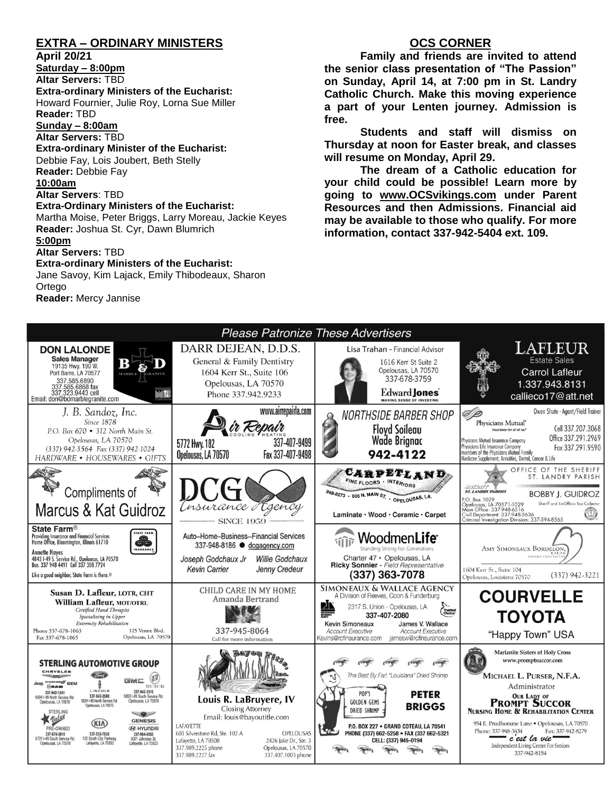## **EXTRA – ORDINARY MINISTERS**

**April 20/21**

**Saturday – 8:00pm**

**Altar Servers:** TBD

**Extra-ordinary Ministers of the Eucharist:** 

Howard Fournier, Julie Roy, Lorna Sue Miller **Reader:** TBD

**Sunday – 8:00am**

**Altar Servers:** TBD

**Extra-ordinary Minister of the Eucharist:** Debbie Fay, Lois Joubert, Beth Stelly

**Reader:** Debbie Fay

**10:00am**

**Altar Servers**: TBD **Extra-Ordinary Ministers of the Eucharist:**

Martha Moise, Peter Briggs, Larry Moreau, Jackie Keyes **Reader:** Joshua St. Cyr, Dawn Blumrich

#### **5:00pm**

**Altar Servers:** TBD

#### **Extra-ordinary Ministers of the Eucharist:**

Jane Savoy, Kim Lajack, Emily Thibodeaux, Sharon Ortego **Reader:** Mercy Jannise

## **OCS CORNER**

**Family and friends are invited to attend the senior class presentation of "The Passion" on Sunday, April 14, at 7:00 pm in St. Landry Catholic Church. Make this moving experience a part of your Lenten journey. Admission is free.** 

**Students and staff will dismiss on Thursday at noon for Easter break, and classes will resume on Monday, April 29.**

**The dream of a Catholic education for your child could be possible! Learn more by going to [www.OCSvikings.com](http://www.ocsvikings.com/) under Parent Resources and then Admissions. Financial aid may be available to those who qualify. For more information, contact 337-942-5404 ext. 109.**